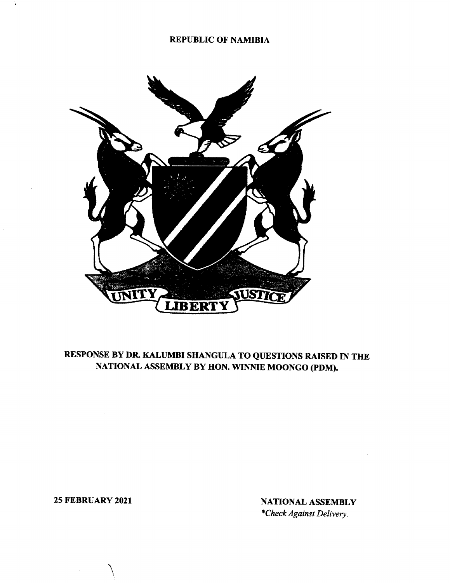## REPUBLIC OF NAMIBIA



## RESPONSE BY DR. KALUMBI SHANGULA TO QUESTIONS RAISED IN THE NATIONAL ASSEMBLY BY HON. WINNIE MOONGO (pDM).

 $\setminus$ 

25 FEBRUARY 2021 NATIONAL ASSEMBLY *\*Check Against Delivery.*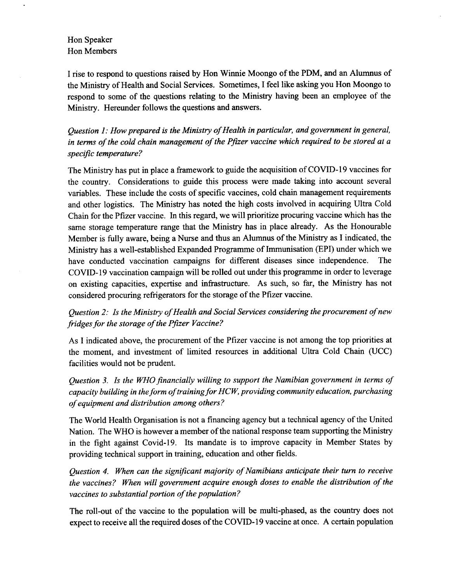## Hon Speaker Hon Members

I rise to respond to questions raised by Hon Winnie Moongo of the PDM, and an Alumnus of the Ministry of Health and Social Services. Sometimes, I feel like asking you Hon Moongo to respond to some of the questions relating to the Ministry having been an employee of the Ministry. Hereunder follows the questions and answers.

*Question 1: How prepared is the Ministry of Health in particular, and government in general, in terms of the cold chain management of the Pfizer vaccine which required to be stored at a* specific temperature?

The Ministry has put in place a framework to guide the acquisition of COVID-19 vaccines for the country. Considerations to guide this process were made taking into account several variables. These include the costs of specific vaccines, cold chain management requirements and other logistics. The Ministry has noted the high costs involved in acquiring Ultra Cold Chain for the Pfizer vaccine. In this regard, we will prioritize procuring vaccine which has the same storage temperature range that the Ministry has in place already. As the Honourable Member is fully aware, being a Nurse and thus an Alumnus of the Ministry as I indicated, the Ministry has a well-established Expanded Programme of Immunisation (EPI) under which we have conducted vaccination campaigns for different diseases since independence. The COVID-19 vaccination campaign will be rolled out under this programme in order to leverage on existing capacities, expertise and infrastructure. As such, so far, the Ministry has not considered procuring refrigerators for the storage of the Pfizer vaccine.

*Question* 2: *Is the Ministry of Health and Social Services considering the procurement of new fridges for the storage of the Pfizer Vaccine?*

As I indicated above, the procurement of the Pfizer vaccine is not among the top priorities at the moment, and investment of limited resources in additional Ultra Cold Chain (VCC) facilities would not be prudent.

*Question* 3. *Is the WHOfinancially willing to support the Namibian government in terms of capacity building in theform of trainingfor Hew, providing community education, purchasing of equipment and distribution among others?*

The World Health Organisation is not a financing agency but a technical agency of the United Nation. The WHO is however a member of the national response team supporting the Ministry in the fight against Covid-19. Its mandate is to improve capacity in Member States by providing technical support in training, education and other fields.

*Question* 4. *When can the significant majority of Namibians anticipate their turn to receive the vaccines? When will government acquire enough doses to enable the distribution of the vaccines to substantial portion of the population?*

The roll-out of the vaccine to the population will be multi-phased, as the country does not expect to receive all the required doses of the COVID-19 vaccine at once. A certain population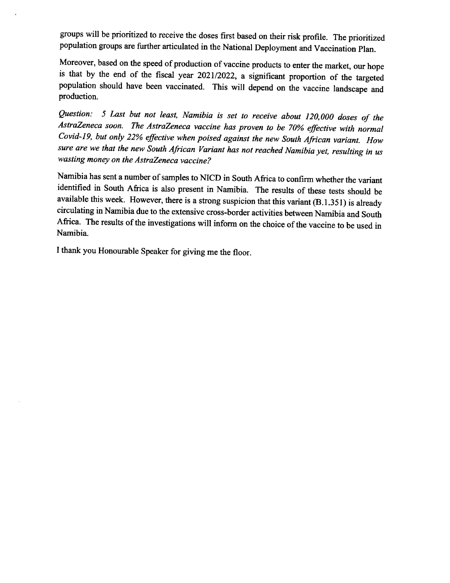groups will be prioritized to receive the doses first based on their risk profile. The prioritized population groups are further articulated in the National Deployment and Vaccination Plan.

Moreover, based on the speed of production of vaccine products to enter the market, our hope is that by the end of the fiscal year 202112022, a significant proportion of the targeted population should have been vaccinated. This will depend on the vaccine landscape and production.

*Question:* 5 *Last but not least, Namibia is set to receive about 120,000 doses of the AstraZeneca soon. The AstraZeneca vaccine has proven to be 70% effective with normal Covid-19, but only* 22% *effective when poised against the new South African variant. How sure are we that the new South African Variant has not reached Namibia yet, resulting in us wasting money on the AstraZeneca vaccine?*

Namibia has sent a number of samples to NICD in South Africa to confirm whether the variant identified in South Africa is also present in Namibia. The results of these tests should be available this week. However, there is a strong suspicion that this variant (B.l.351) is already circulating in Namibia due to the extensive cross-border activities between Namibia and South Africa. The results of the investigations will inform on the choice of the vaccine to be used in Namibia.

I thank you Honourable Speaker for giving me the floor.